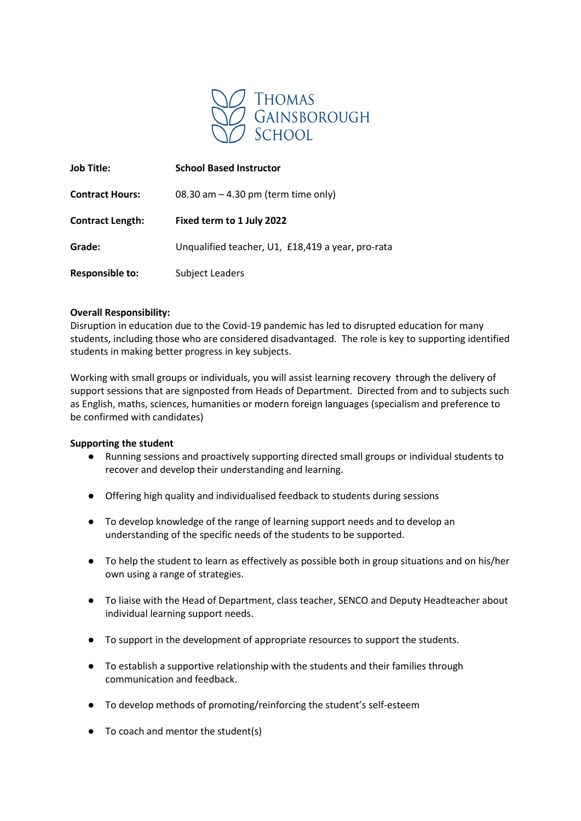

| <b>Job Title:</b>       | <b>School Based Instructor</b>                    |
|-------------------------|---------------------------------------------------|
| <b>Contract Hours:</b>  | 08.30 am $-$ 4.30 pm (term time only)             |
| <b>Contract Length:</b> | Fixed term to 1 July 2022                         |
| Grade:                  | Unqualified teacher, U1, £18,419 a year, pro-rata |
| <b>Responsible to:</b>  | <b>Subject Leaders</b>                            |

# **Overall Responsibility:**

Disruption in education due to the Covid-19 pandemic has led to disrupted education for many students, including those who are considered disadvantaged. The role is key to supporting identified students in making better progress in key subjects.

Working with small groups or individuals, you will assist learning recovery through the delivery of support sessions that are signposted from Heads of Department. Directed from and to subjects such as English, maths, sciences, humanities or modern foreign languages (specialism and preference to be confirmed with candidates)

# **Supporting the student**

- Running sessions and proactively supporting directed small groups or individual students to recover and develop their understanding and learning.
- Offering high quality and individualised feedback to students during sessions
- To develop knowledge of the range of learning support needs and to develop an understanding of the specific needs of the students to be supported.
- To help the student to learn as effectively as possible both in group situations and on his/her own using a range of strategies.
- To liaise with the Head of Department, class teacher, SENCO and Deputy Headteacher about individual learning support needs.
- To support in the development of appropriate resources to support the students.
- To establish a supportive relationship with the students and their families through communication and feedback.
- To develop methods of promoting/reinforcing the student's self-esteem
- $\bullet$  To coach and mentor the student(s)